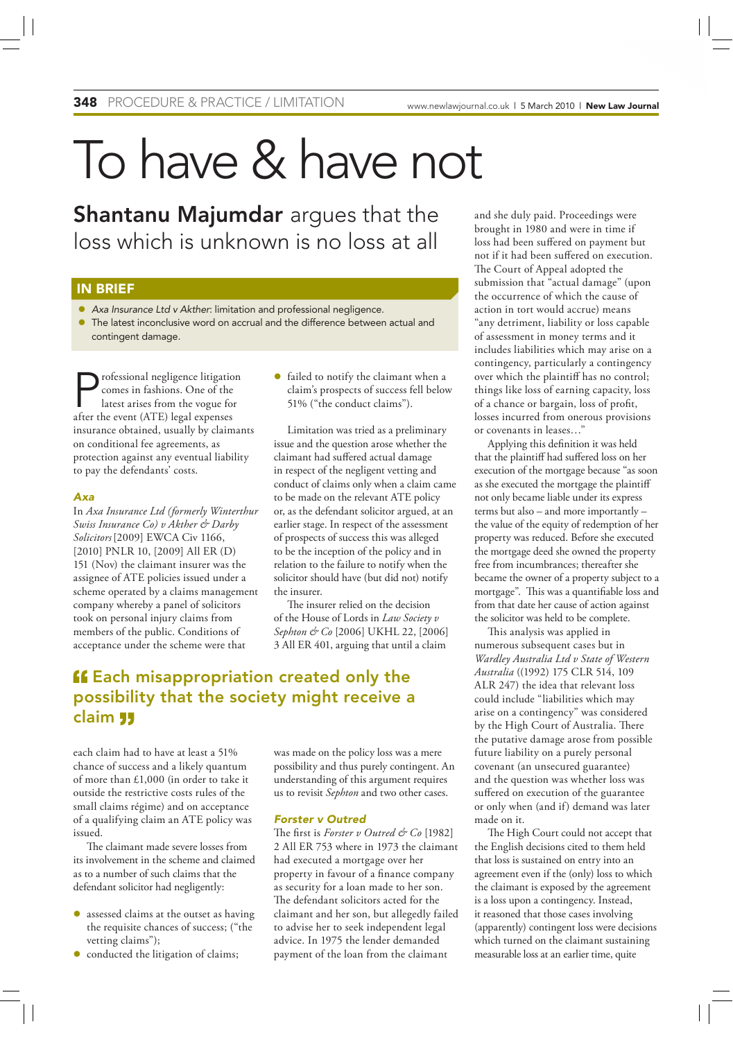# To have & have not

Shantanu Majumdar argues that the loss which is unknown is no loss at all

## IN BRIEF

- *Axa Insurance Ltd v Akther*: limitation and professional negligence.
- The latest inconclusive word on accrual and the difference between actual and contingent damage.

rofessional negligence litigation comes in fashions. One of the latest arises from the vogue for after the event (ATE) legal expenses insurance obtained, usually by claimants on conditional fee agreements, as protection against any eventual liability to pay the defendants' costs.

## *Axa*

In *Axa Insurance Ltd (formerly Winterthur Swiss Insurance Co) v Akther & Darby Solicitors*[2009] EWCA Civ 1166, [2010] PNLR 10, [2009] All ER (D) 151 (Nov) the claimant insurer was the assignee of ATE policies issued under a scheme operated by a claims management company whereby a panel of solicitors took on personal injury claims from members of the public. Conditions of acceptance under the scheme were that

 failed to notify the claimant when a claim's prospects of success fell below 51% ("the conduct claims").

Limitation was tried as a preliminary issue and the question arose whether the claimant had suffered actual damage in respect of the negligent vetting and conduct of claims only when a claim came to be made on the relevant ATE policy or, as the defendant solicitor argued, at an earlier stage. In respect of the assessment of prospects of success this was alleged to be the inception of the policy and in relation to the failure to notify when the solicitor should have (but did not) notify the insurer.

The insurer relied on the decision of the House of Lords in *Law Society v Sephton & Co* [2006] UKHL 22, [2006] 3 All ER 401, arguing that until a claim

## **ff** Each misappropriation created only the possibility that the society might receive a claim

each claim had to have at least a 51% chance of success and a likely quantum of more than £1,000 (in order to take it outside the restrictive costs rules of the small claims régime) and on acceptance of a qualifying claim an ATE policy was issued.

The claimant made severe losses from its involvement in the scheme and claimed as to a number of such claims that the defendant solicitor had negligently:

- assessed claims at the outset as having the requisite chances of success; ("the vetting claims");
- $\bullet$  conducted the litigation of claims;

was made on the policy loss was a mere possibility and thus purely contingent. An understanding of this argument requires us to revisit *Sephton* and two other cases.

## *Forster v Outred*

The first is *Forster v Outred* & Co [1982] 2 All ER 753 where in 1973 the claimant had executed a mortgage over her property in favour of a finance company as security for a loan made to her son. The defendant solicitors acted for the claimant and her son, but allegedly failed to advise her to seek independent legal advice. In 1975 the lender demanded payment of the loan from the claimant

and she duly paid. Proceedings were brought in 1980 and were in time if loss had been suffered on payment but not if it had been suffered on execution. The Court of Appeal adopted the submission that "actual damage" (upon the occurrence of which the cause of action in tort would accrue) means "any detriment, liability or loss capable of assessment in money terms and it includes liabilities which may arise on a contingency, particularly a contingency over which the plaintiff has no control; things like loss of earning capacity, loss of a chance or bargain, loss of profit, losses incurred from onerous provisions or covenants in leases…"

Applying this definition it was held that the plaintiff had suffered loss on her execution of the mortgage because "as soon as she executed the mortgage the plaintiff not only became liable under its express terms but also – and more importantly – the value of the equity of redemption of her property was reduced. Before she executed the mortgage deed she owned the property free from incumbrances; thereafter she became the owner of a property subject to a mortgage". This was a quantifiable loss and from that date her cause of action against the solicitor was held to be complete.

This analysis was applied in numerous subsequent cases but in *Wardley Australia Ltd v State of Western Australia* ((1992) 175 CLR 514, 109 ALR 247) the idea that relevant loss could include "liabilities which may arise on a contingency" was considered by the High Court of Australia. There the putative damage arose from possible future liability on a purely personal covenant (an unsecured guarantee) and the question was whether loss was suffered on execution of the guarantee or only when (and if) demand was later made on it.

The High Court could not accept that the English decisions cited to them held that loss is sustained on entry into an agreement even if the (only) loss to which the claimant is exposed by the agreement is a loss upon a contingency. Instead, it reasoned that those cases involving (apparently) contingent loss were decisions which turned on the claimant sustaining measurable loss at an earlier time, quite